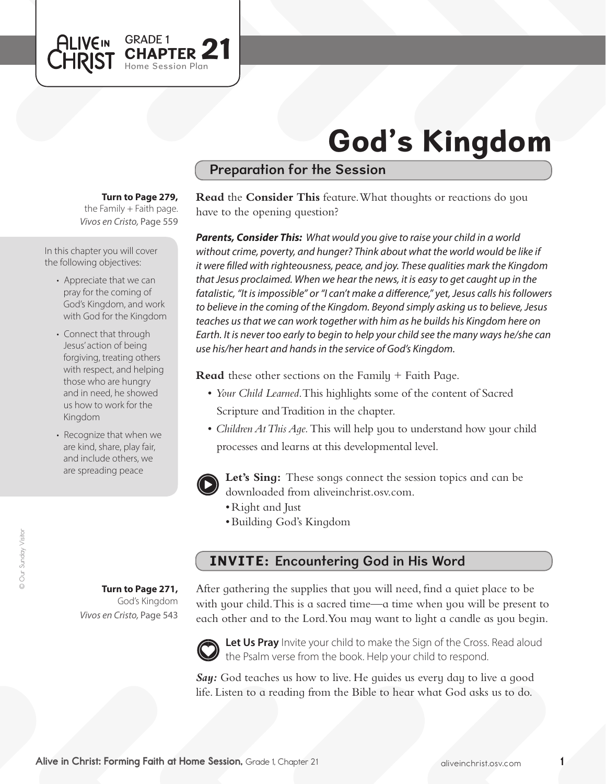

# God's Kingdom

## Preparation for the Session

#### **Turn to Page 279,**

*Vivos en Cristo,* Page 559 the Family  $+$  Faith page.

In this chapter you will cover the following objectives:

- Appreciate that we can pray for the coming of God's Kingdom, and work with God for the Kingdom
- Connect that through Jesus' action of being forgiving, treating others with respect, and helping those who are hungry and in need, he showed us how to work for the Kingdom
- Recognize that when we are kind, share, play fair, and include others, we are spreading peace

**Read** the **Consider This** feature. What thoughts or reactions do you have to the opening question?

*Parents, Consider This: What would you give to raise your child in a world without crime, poverty, and hunger? Think about what the world would be like if it were filled with righteousness, peace, and joy. These qualities mark the Kingdom that Jesus proclaimed. When we hear the news, it is easy to get caught up in the fatalistic, "It is impossible" or "I can't make a difference," yet, Jesus calls his followers to believe in the coming of the Kingdom. Beyond simply asking us to believe, Jesus teaches us that we can work together with him as he builds his Kingdom here on Earth. It is never too early to begin to help your child see the many ways he/she can use his/her heart and hands in the service of God's Kingdom.*

**Read** these other sections on the Family + Faith Page.

- • *Your Child Learned*. This highlights some of the content of Sacred Scripture and Tradition in the chapter.
- • *Children At This Age.* This will help you to understand how your child processes and learns at this developmental level.



**Let's Sing:** These songs connect the session topics and can be downloaded from aliveinchrist.osv.com.

- Right and Just
- • Building God's Kingdom

## INVITE: Encountering God in His Word

**Turn to Page 271,** God's Kingdom *Vivos en Cristo,* Page 543

After gathering the supplies that you will need, find a quiet place to be with your child. This is a sacred time—a time when you will be present to each other and to the Lord. You may want to light a candle as you begin.



Let Us Pray Invite your child to make the Sign of the Cross. Read aloud the Psalm verse from the book. Help your child to respond.

*Say:* God teaches us how to live. He guides us every day to live a good life. Listen to a reading from the Bible to hear what God asks us to do.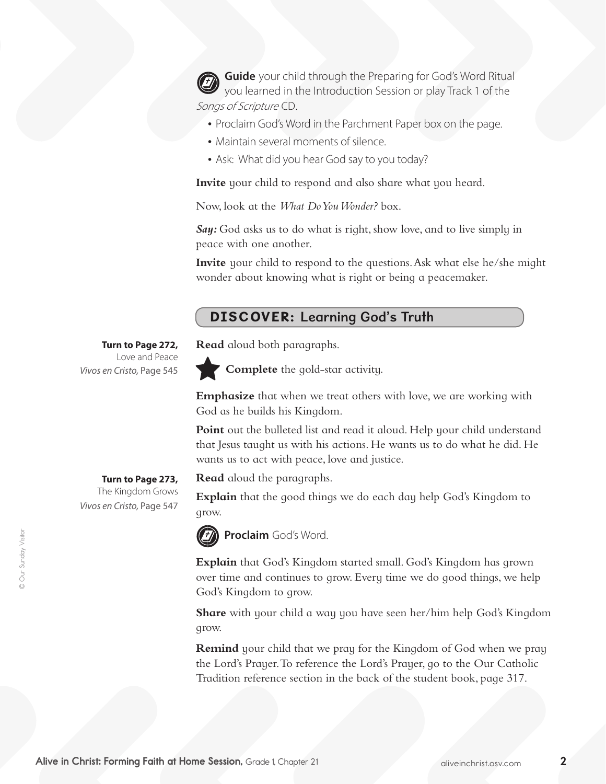**Guide** your child through the Preparing for God's Word Ritual you learned in the Introduction Session or play Track 1 of the Songs of Scripture CD.

- Proclaim God's Word in the Parchment Paper box on the page.
- Maintain several moments of silence.
- Ask: What did you hear God say to you today?

**Invite** your child to respond and also share what you heard.

Now, look at the *What Do You Wonder?* box.

*Say:* God asks us to do what is right, show love, and to live simply in peace with one another.

**Invite** your child to respond to the questions. Ask what else he/she might wonder about knowing what is right or being a peacemaker.

### DISCOVER: Learning God's Truth

**Read** aloud both paragraphs.



**Complete** the gold-star activity.

**Emphasize** that when we treat others with love, we are working with God as he builds his Kingdom.

**Point** out the bulleted list and read it aloud. Help your child understand that Jesus taught us with his actions. He wants us to do what he did. He wants us to act with peace, love and justice.

**Read** aloud the paragraphs.

**Explain** that the good things we do each day help God's Kingdom to grow.



**Proclaim** God's Word.

**Explain** that God's Kingdom started small. God's Kingdom has grown over time and continues to grow. Every time we do good things, we help God's Kingdom to grow.

**Share** with your child a way you have seen her/him help God's Kingdom grow.

**Remind** your child that we pray for the Kingdom of God when we pray the Lord's Prayer.To reference the Lord's Prayer, go to the Our Catholic Tradition reference section in the back of the student book, page 317.

**Turn to Page 272,** Love and Peace *Vivos en Cristo,* Page 545

> **Turn to Page 273,**  The Kingdom Grows

*Vivos en Cristo,* Page 547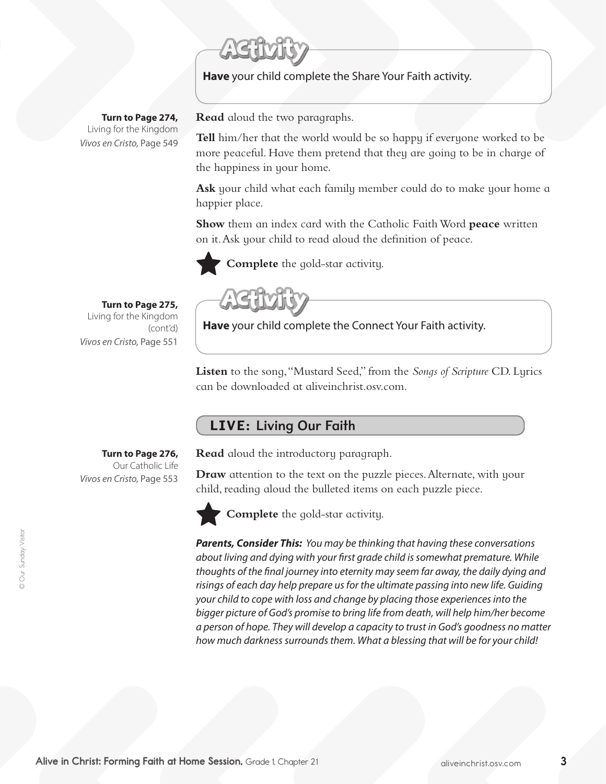**Have** your child complete the Share Your Faith activity.

**Turn to Page 274,** Living for the Kingdom *Vivos en Cristo,* Page 549

**Read** aloud the two paragraphs.

**Tell** him/her that the world would be so happy if everyone worked to be more peaceful. Have them pretend that they are going to be in charge of the happiness in your home.

**Ask** your child what each family member could do to make your home a happier place.

**Show** them an index card with the Catholic Faith Word **peace** written on it.Ask your child to read aloud the definition of peace.



**Complete** the gold-star activity.

**Turn to Page 275,** Living for the Kingdom (cont'd) *Vivos en Cristo,* Page 551

**Have** your child complete the Connect Your Faith activity.

**Listen** to the song, "Mustard Seed," from the *Songs of Scripture* CD. Lyrics can be downloaded at aliveinchrist.osv.com.

#### LIVE: Living Our Faith

**Turn to Page 276,** 

Our Catholic Life *Vivos en Cristo,* Page 553

**Read** aloud the introductory paragraph.

**Draw** attention to the text on the puzzle pieces. Alternate, with your child, reading aloud the bulleted items on each puzzle piece.



**Complete** the gold-star activity.

*Parents, Consider This: You may be thinking that having these conversations about living and dying with your first grade child is somewhat premature. While thoughts of the final journey into eternity may seem far away, the daily dying and risings of each day help prepare us for the ultimate passing into new life. Guiding your child to cope with loss and change by placing those experiences into the bigger picture of God's promise to bring life from death, will help him/her become a person of hope. They will develop a capacity to trust in God's goodness no matter how much darkness surrounds them. What a blessing that will be for your child!*